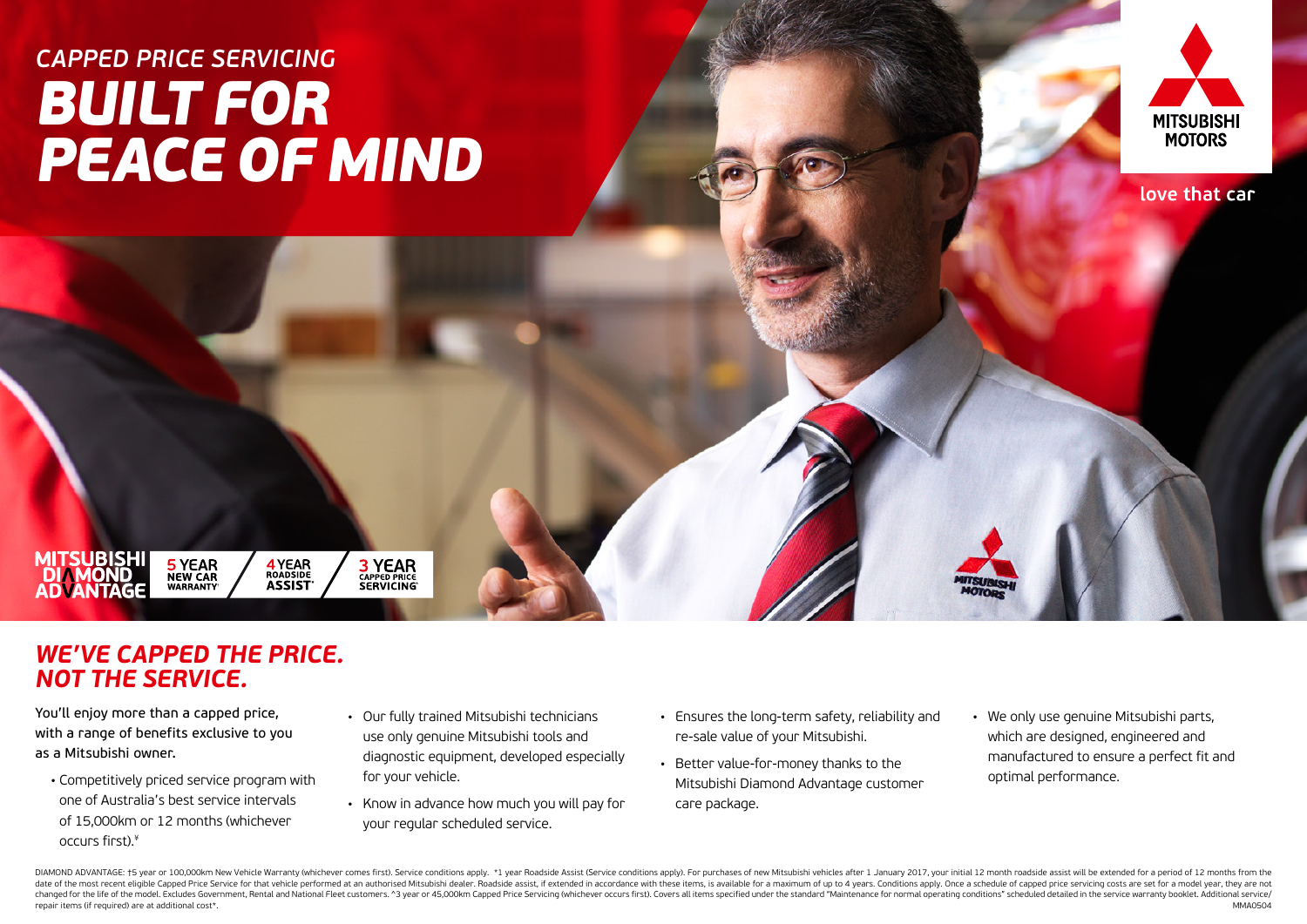# *CAPPED PRICE SERVICING BUILT FOR PEACE OF MIND*



love that car

### *WE'VE CAPPED THE PRICE. NOT THE SERVICE.*

**5 YEAR**<br>NEW CAR<br>WARRANTY

**4 YEAR**<br>ROADSIDE<br>**ASSIST** 

**3 YEAR**<br>CAPPED PRICE<br>SERVICING

You'll enjoy more than a capped price, with a range of benefits exclusive to you as a Mitsubishi owner.

**MITSUBISHI** 

- Competitively priced service program with one of Australia's best service intervals of 15,000km or 12 months (whichever occurs first).¥
- Our fully trained Mitsubishi technicians use only genuine Mitsubishi tools and diagnostic equipment, developed especially for your vehicle.
- Know in advance how much you will pay for your regular scheduled service.
- Ensures the long-term safety, reliability and re-sale value of your Mitsubishi.
- Better value-for-money thanks to the Mitsubishi Diamond Advantage customer care package.
- We only use genuine Mitsubishi parts, which are designed, engineered and manufactured to ensure a perfect fit and optimal performance.

DIAMOND ADVANTAGE: †5 year or 100,000km New Vehicle Warranty (whichever comes first). Service conditions apply. \*1 year Roadside Assist (Service conditions apply). For purchases of new Mitsubishi vehicles after 1 January 2 date of the most recent eligible Capped Price Service for that vehicle performed at an authorised Mitsubishi dealer. Roadside assist, if extended in accordance with these items, is available for a maximum of up to 4 years. changed for the life of the model. Excludes Government, Rental and National Fleet customers. ^3 year or 45,000km Capped Price Servicing (whichever occurs first). Covers all items specified under the standard "Maintenance f repair items (if required) are at additional cost\*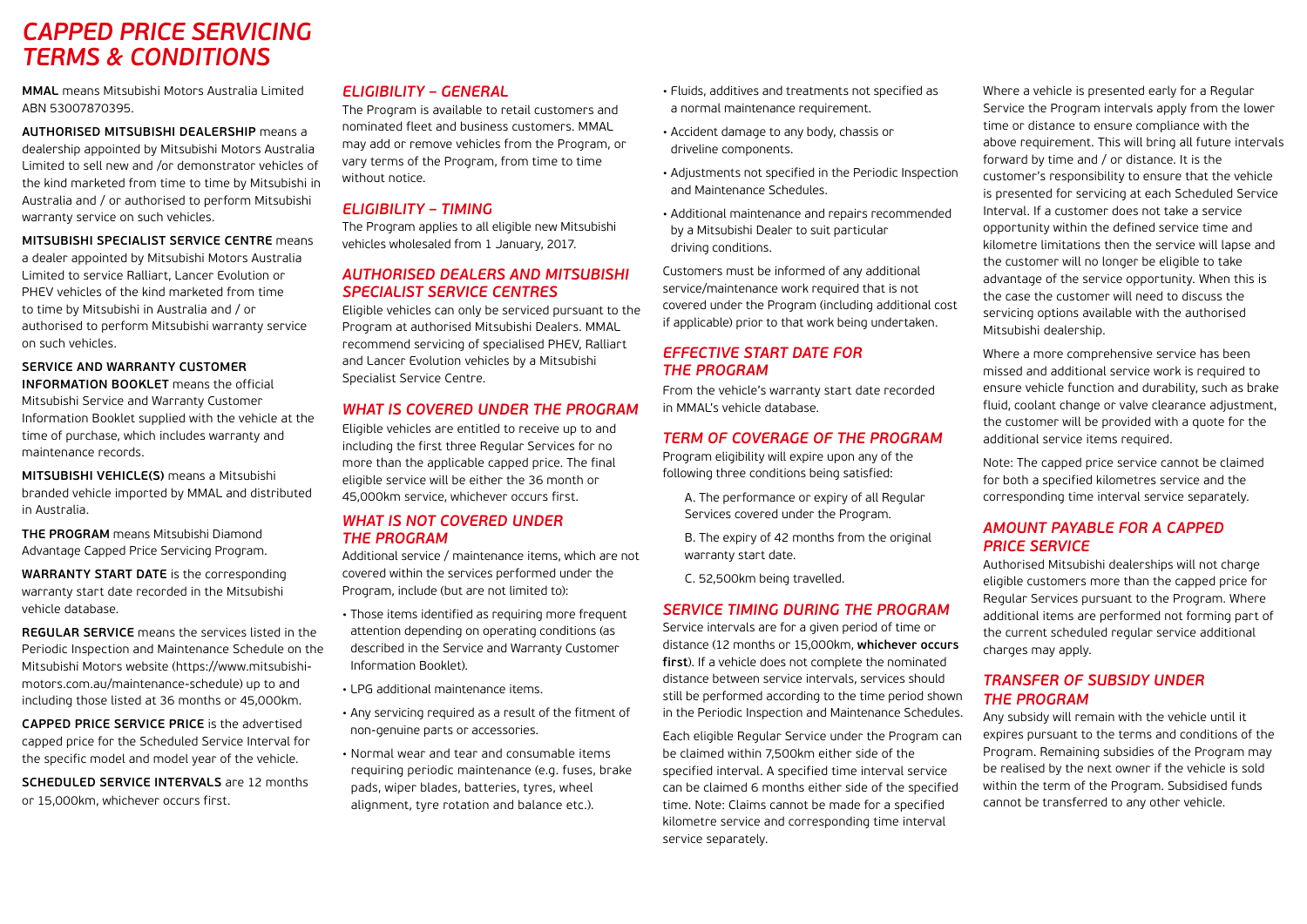### *CAPPED PRICE SERVICING TERMS & CONDITIONS*

**MMAL** means Mitsubishi Motors Australia Limited ABN 53007870395.

**AUTHORISED MITSUBISHI DEALERSHIP** means a dealership appointed by Mitsubishi Motors Australia Limited to sell new and /or demonstrator vehicles of the kind marketed from time to time by Mitsubishi in Australia and / or authorised to perform Mitsubishi warranty service on such vehicles.

**MITSUBISHI SPECIALIST SERVICE CENTRE** means a dealer appointed by Mitsubishi Motors Australia Limited to service Ralliart, Lancer Evolution or PHEV vehicles of the kind marketed from time to time by Mitsubishi in Australia and / or authorised to perform Mitsubishi warranty service on such vehicles.

**SERVICE AND WARRANTY CUSTOMER INFORMATION BOOKLET** means the official Mitsubishi Service and Warranty Customer Information Booklet supplied with the vehicle at the time of purchase, which includes warranty and maintenance records.

**MITSUBISHI VEHICLE(S)** means a Mitsubishi branded vehicle imported by MMAL and distributed in Australia.

**THE PROGRAM** means Mitsubishi Diamond Advantage Capped Price Servicing Program.

**WARRANTY START DATE** is the corresponding warranty start date recorded in the Mitsubishi vehicle database.

**REGULAR SERVICE** means the services listed in the Periodic Inspection and Maintenance Schedule on the Mitsubishi Motors website (https://www.mitsubishimotors.com.au/maintenance-schedule) up to and including those listed at 36 months or 45,000km.

**CAPPED PRICE SERVICE PRICE** is the advertised capped price for the Scheduled Service Interval for the specific model and model year of the vehicle.

**SCHEDULED SERVICE INTERVALS** are 12 months or 15,000km, whichever occurs first.

#### *ELIGIBILITY – GENERAL*

The Program is available to retail customers and nominated fleet and business customers. MMAL may add or remove vehicles from the Program, or vary terms of the Program, from time to time without notice.

#### *ELIGIBILITY – TIMING*

The Program applies to all eligible new Mitsubishi vehicles wholesaled from 1 January, 2017.

#### *AUTHORISED DEALERS AND MITSUBISHI SPECIALIST SERVICE CENTRES*

Eligible vehicles can only be serviced pursuant to the Program at authorised Mitsubishi Dealers. MMAL recommend servicing of specialised PHEV, Ralliart and Lancer Evolution vehicles by a Mitsubishi Specialist Service Centre.

#### *WHAT IS COVERED UNDER THE PROGRAM*

Eligible vehicles are entitled to receive up to and including the first three Regular Services for no more than the applicable capped price. The final eligible service will be either the 36 month or 45,000km service, whichever occurs first.

#### *WHAT IS NOT COVERED UNDER THE PROGRAM*

Additional service / maintenance items, which are not covered within the services performed under the Program, include (but are not limited to):

- Those items identified as requiring more frequent attention depending on operating conditions (as described in the Service and Warranty Customer Information Booklet).
- LPG additional maintenance items.
- Any servicing required as a result of the fitment of non-genuine parts or accessories.
- Normal wear and tear and consumable items requiring periodic maintenance (e.g. fuses, brake pads, wiper blades, batteries, tyres, wheel alignment, tyre rotation and balance etc.).
- Fluids, additives and treatments not specified as a normal maintenance requirement.
- Accident damage to any body, chassis or driveline components.
- Adjustments not specified in the Periodic Inspection and Maintenance Schedules.
- Additional maintenance and repairs recommended by a Mitsubishi Dealer to suit particular driving conditions.

Customers must be informed of any additional service/maintenance work required that is not covered under the Program (including additional cost if applicable) prior to that work being undertaken.

#### *EFFECTIVE START DATE FOR THE PROGRAM*

From the vehicle's warranty start date recorded in MMAL's vehicle database.

#### *TERM OF COVERAGE OF THE PROGRAM*

Program eligibility will expire upon any of the following three conditions being satisfied:

A. The performance or expiry of all Regular Services covered under the Program.

B. The expiry of 42 months from the original warranty start date.

C. 52,500km being travelled.

#### *SERVICE TIMING DURING THE PROGRAM*

Service intervals are for a given period of time or distance (12 months or 15,000km, **whichever occurs first**). If a vehicle does not complete the nominated distance between service intervals, services should still be performed according to the time period shown in the Periodic Inspection and Maintenance Schedules.

Each eligible Regular Service under the Program can be claimed within 7,500km either side of the specified interval. A specified time interval service can be claimed 6 months either side of the specified time. Note: Claims cannot be made for a specified kilometre service and corresponding time interval service separately.

Where a vehicle is presented early for a Regular Service the Program intervals apply from the lower time or distance to ensure compliance with the above requirement. This will bring all future intervals forward by time and / or distance. It is the customer's responsibility to ensure that the vehicle is presented for servicing at each Scheduled Service Interval. If a customer does not take a service opportunity within the defined service time and kilometre limitations then the service will lapse and the customer will no longer be eligible to take advantage of the service opportunity. When this is the case the customer will need to discuss the servicing options available with the authorised Mitsubishi dealership.

Where a more comprehensive service has been missed and additional service work is required to ensure vehicle function and durability, such as brake fluid, coolant change or valve clearance adjustment, the customer will be provided with a quote for the additional service items required.

Note: The capped price service cannot be claimed for both a specified kilometres service and the corresponding time interval service separately.

### *AMOUNT PAYABLE FOR A CAPPED PRICE SERVICE*

Authorised Mitsubishi dealerships will not charge eligible customers more than the capped price for Regular Services pursuant to the Program. Where additional items are performed not forming part of the current scheduled regular service additional charges may apply.

#### *TRANSFER OF SUBSIDY UNDER THE PROGRAM*

Any subsidy will remain with the vehicle until it expires pursuant to the terms and conditions of the Program. Remaining subsidies of the Program may be realised by the next owner if the vehicle is sold within the term of the Program. Subsidised funds cannot be transferred to any other vehicle.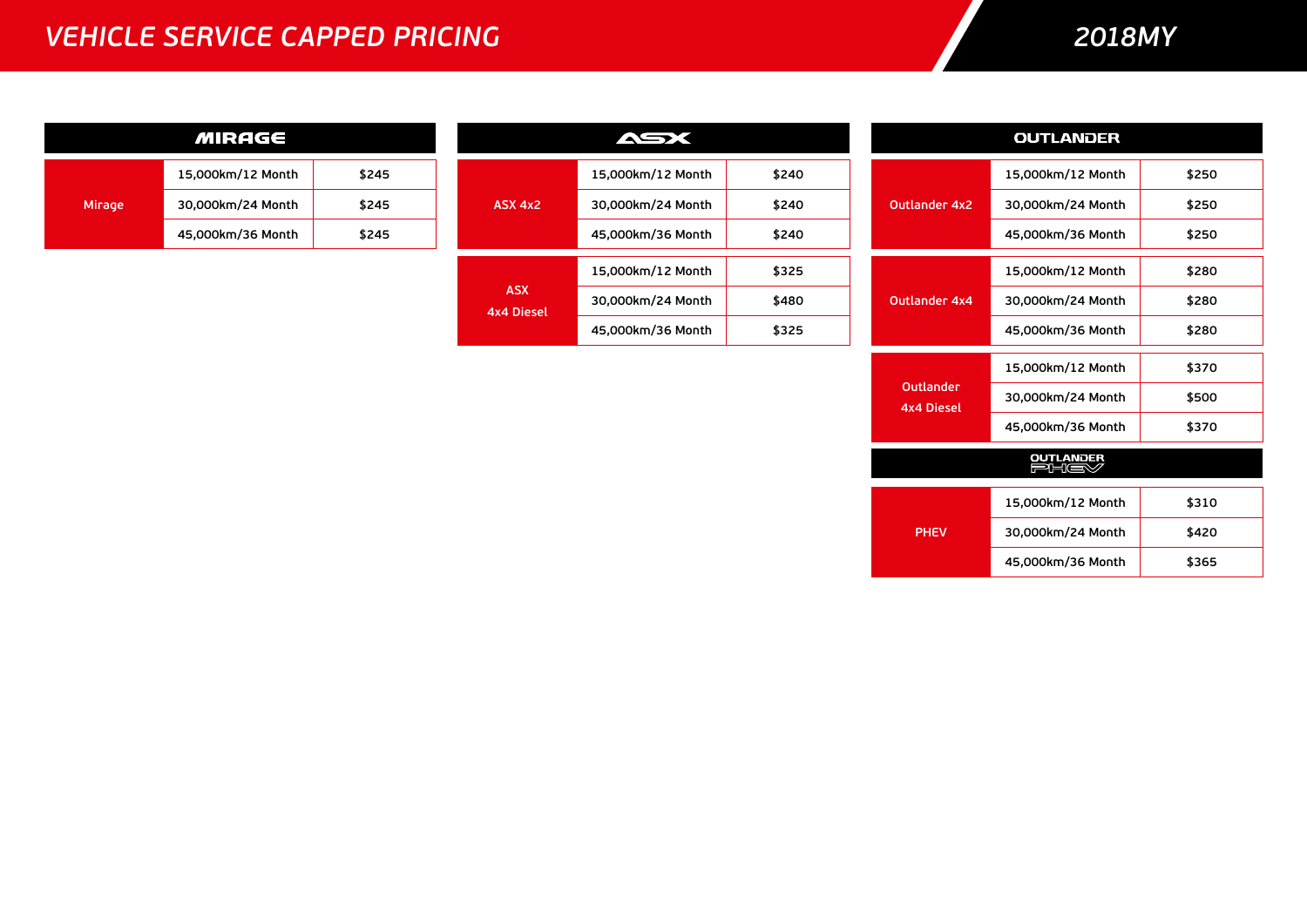### *VEHICLE SERVICE CAPPED PRICING*

### *2018MY*

| <b>MIRAGE</b> |                   |                                 | ASX               |                   | <b>OUTLANDER</b> |                   |                   |       |
|---------------|-------------------|---------------------------------|-------------------|-------------------|------------------|-------------------|-------------------|-------|
|               | 15,000km/12 Month | \$245                           |                   | 15,000km/12 Month | \$240            |                   | 15,000km/12 Month | \$250 |
| Mirage        | 30,000km/24 Month | \$245                           | ASX 4x2           | 30,000km/24 Month | \$240            | Outlander 4x2     | 30,000km/24 Month | \$250 |
|               | 45,000km/36 Month | \$245                           |                   | 45,000km/36 Month | \$240            |                   | 45,000km/36 Month | \$250 |
|               |                   |                                 |                   | 15,000km/12 Month | \$325            |                   | 15,000km/12 Month | \$280 |
|               |                   | <b>ASX</b><br><b>4x4 Diesel</b> | 30,000km/24 Month | \$480             | Outlander 4x4    | 30,000km/24 Month | \$280             |       |
|               |                   |                                 |                   | 45,000km/36 Month | \$325            |                   | 45,000km/36 Month | \$280 |
|               |                   |                                 |                   |                   |                  |                   | 15,000km/12 Month | \$370 |

| <b>Outlander</b><br><b>4x4 Diesel</b> | 30,000km/24 Month        | \$500 |
|---------------------------------------|--------------------------|-------|
|                                       | 45,000km/36 Month        | \$370 |
|                                       | <b>OUTLANDER</b><br>FHEY |       |
|                                       |                          |       |
| <b>PHEV</b>                           | 15,000km/12 Month        | \$310 |
|                                       | 30,000km/24 Month        | \$420 |
|                                       | 45,000km/36 Month        | \$365 |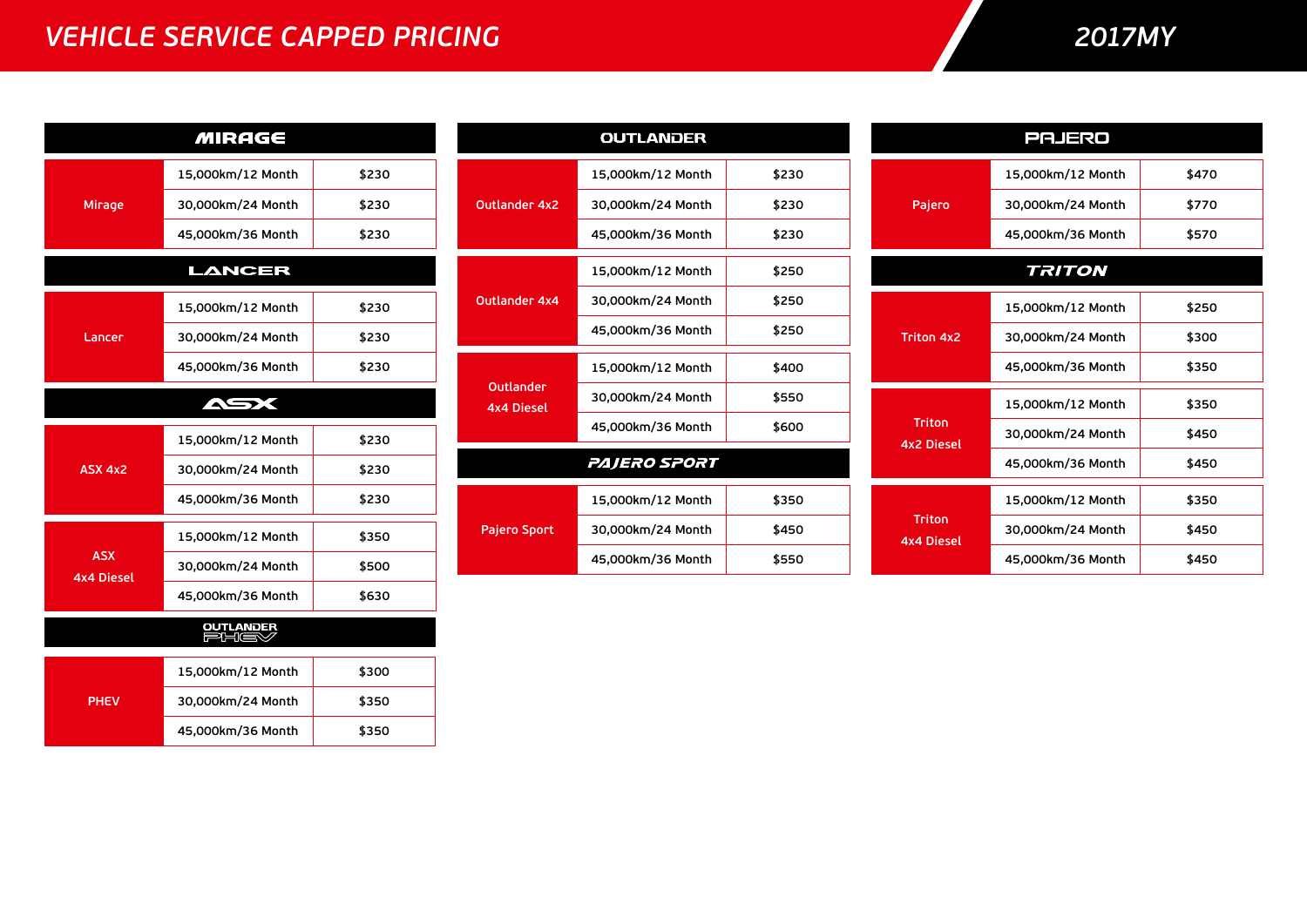### *VEHICLE SERVICE CAPPED PRICING*

## *2017MY*

| <b>MIRAGE</b>                   |                   |       |  |  |
|---------------------------------|-------------------|-------|--|--|
|                                 | 15,000km/12 Month | \$230 |  |  |
| Mirage                          | 30,000km/24 Month | \$230 |  |  |
|                                 | 45,000km/36 Month | \$230 |  |  |
|                                 | LANCER            |       |  |  |
|                                 | 15,000km/12 Month | \$230 |  |  |
| Lancer                          | 30,000km/24 Month | \$230 |  |  |
|                                 | 45,000km/36 Month | \$230 |  |  |
|                                 | ASX               |       |  |  |
|                                 | 15,000km/12 Month | \$230 |  |  |
| ASX 4x2                         | 30,000km/24 Month | \$230 |  |  |
|                                 | 45,000km/36 Month | \$230 |  |  |
|                                 | 15,000km/12 Month | \$350 |  |  |
| <b>ASX</b><br><b>4x4 Diesel</b> | 30,000km/24 Month | \$500 |  |  |
|                                 | 45,000km/36 Month | \$630 |  |  |
| <b>OUTLANDER</b><br>PHIEV       |                   |       |  |  |
|                                 | 15,000km/12 Month | \$300 |  |  |
| <b>PHEV</b>                     | 30,000km/24 Month | \$350 |  |  |
|                                 | 45,000km/36 Month | \$350 |  |  |

|                                | <b>OUTLANDER</b>  |       |  |  |
|--------------------------------|-------------------|-------|--|--|
|                                | 15,000km/12 Month | \$230 |  |  |
| <b>Outlander 4x2</b>           | 30,000km/24 Month | \$230 |  |  |
|                                | 45,000km/36 Month | \$230 |  |  |
|                                | 15,000km/12 Month | \$250 |  |  |
| <b>Outlander 4x4</b>           | 30,000km/24 Month | \$250 |  |  |
|                                | 45,000km/36 Month | \$250 |  |  |
|                                | 15,000km/12 Month | \$400 |  |  |
| Outlander<br><b>4x4 Diesel</b> | 30,000km/24 Month | \$550 |  |  |
|                                | 45,000km/36 Month | \$600 |  |  |
| PAJERO SPORT                   |                   |       |  |  |
|                                | 15,000km/12 Month | \$350 |  |  |
| Pajero Sport                   | 30,000km/24 Month | \$450 |  |  |
|                                | 45,000km/36 Month | \$550 |  |  |

|                             | PAJERO            |       |
|-----------------------------|-------------------|-------|
|                             | 15,000km/12 Month | \$470 |
| Pajero                      | 30,000km/24 Month | \$770 |
|                             | 45,000km/36 Month | \$570 |
|                             | <b>TRITON</b>     |       |
|                             | 15,000km/12 Month | \$250 |
| <b>Triton 4x2</b>           | 30,000km/24 Month | \$300 |
|                             | 45,000km/36 Month | \$350 |
|                             | 15,000km/12 Month | \$350 |
| Triton<br><b>4x2 Diesel</b> | 30.000km/24 Month | \$450 |
|                             | 45,000km/36 Month | \$450 |
|                             | 15,000km/12 Month | \$350 |
| Triton<br><b>4x4 Diesel</b> | 30,000km/24 Month | \$450 |
|                             | 45,000km/36 Month | \$450 |